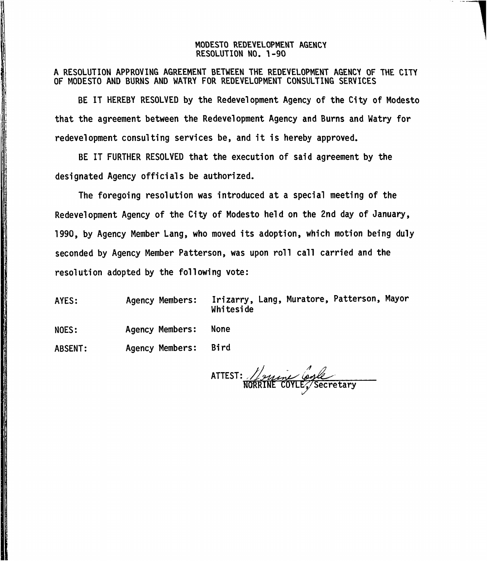### MODESTO REDEVELOPMENT AGENCY RESOLUTION NO. 1-90

A RESOLUTION APPROVING AGREEMENT BETWEEN THE REDEVELOPMENT AGENCY OF THE CITY OF MODESTO AND BURNS AND WATRY FOR REDEVELOPMENT CONSULTING SERVICES

BE IT HEREBY RESOLVED by the Redevelopment Agency of the City of Modesto that the agreemen<sup>t</sup> between the Redevelopment Agency and Burns and Watry for redevelopment consulting services be, and it is hereby approved.

BE IT FURTHER RESOLVED that the execution of said agreemen<sup>t</sup> by the designated Agency officials be authorized.

The foregoing resolution was introduced at <sup>a</sup> special meeting of the Redevelopment Agency of the City of Modesto held on the 2nd day of January, 1990, by Agency Member Lang, who moved its adoption , which motion being duly seconded by Agency Member Patterson, was upon roll call carried and the resolution adopted by the following vote:

Irizarry, Lang, Muratore, Patterson, Mayor Whiteside AYES: Agency Members:

Agency Members: None NOES:

Agency Members: Bi rd ABSENT:

*/>* <code>ATTEST:</code>  $\scriptstyle\diagup$ NORRINE COYLE^/Secretary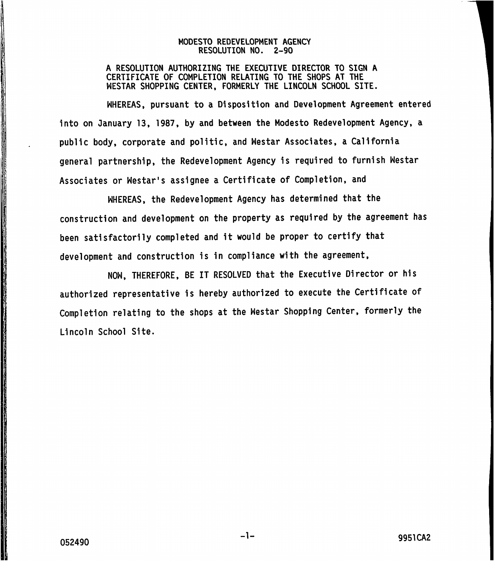## **MODESTO REDEVELOPMENT AGENCY RESOLUTION NO. <sup>2</sup>-90**

**A RESOLUTION AUTHORIZING THE EXECUTIVE DIRECTOR TO SIGN A CERTIFICATE OF COMPLETION RELATING TO THE SHOPS AT THE WESTAR SHOPPING CENTER , FORMERLY THE LINCOLN SCHOOL SITE.**

**WHEREAS, pursuant to <sup>a</sup> Disposition and Development Agreement entered into on January 13, 1987, by and between the Modesto Redevelopment Agency, <sup>a</sup> public body, corporate and politic, and Westar Associates , <sup>a</sup> California general partnership, the Redevelopment Agency is required to furnish Westar Associates or Westar' <sup>s</sup> assignee <sup>a</sup> Certificate of Completion, and**

**WHEREAS, the Redevelopment Agency has determined that the construction and development on the property as required by the agreement has been satisfactorily completed and it would be proper to certify that development and construction is in compliance with the agreement,**

**NOW , THEREFORE, BE IT RESOLVED that the Executive Director or his authorized representative is hereby authorized to execute the Certificate of Completion relating to the shops at the Westar Shopping Center, formerly the Lincoln School Site.**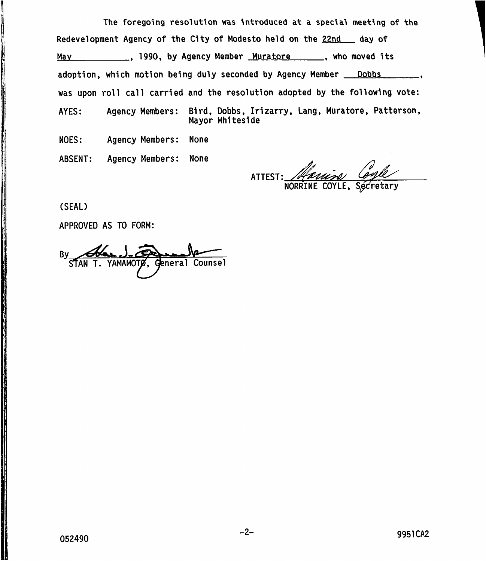**The foregoing resolution was introduced at <sup>a</sup> special meeting of the** Redevelopment Agency of the City of Modesto held on the <u>22nd s</u>ay of , 1990, by Agency Member Muratore **May** , who moved its adoption, which motion being duly seconded by Agency Member <u>— Dobbs</u>  $\overline{\phantom{a}}$ was upon roll call carried and the resolution adopted by the following vote: Bird, Dobbs, Irizarry, Lang, Muratore, Patterson, AYES: Agency Members: Mayor Whiteside

NOES: Agency Members: None

ABSENT: Agency Members: None

ATTEST:

**NORF** 

(SEAL)

APPROVED AS TO FORM:

By Alax J. @ AMAMOTØ. General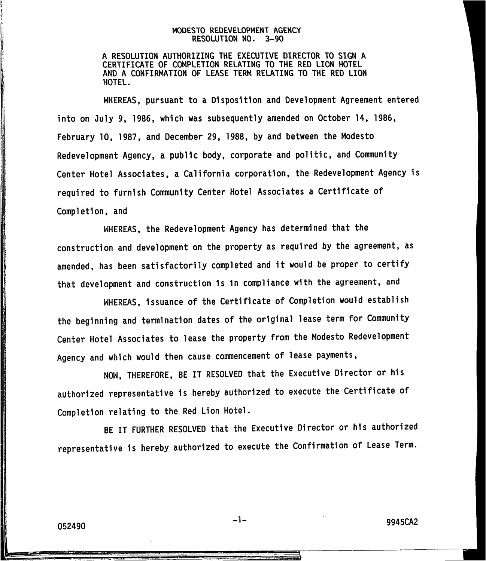### MODESTO REDEVELOPMENT AGENCY RESOLUTION NO. 3-90

A RESOLUTION AUTHORIZING THE EXECUTIVE DIRECTOR TO SIGN A CERTIFICATE OF COMPLETION RELATING TO THE RED LION HOTEL AND A CONFIRMATION OF LEASE TERM RELATING TO THE RED LION HOTEL.

WHEREAS , pursuan<sup>t</sup> to <sup>a</sup> Disposition and Development Agreement entered into on July 9, 1986, which was subsequently amended on October 14. 1986. February 10, 1987 , and December 29, 1988, by and between the Modesto Redevelopment Agency, a public body, corporate and politic, and Community Center Hotel Associates, a California corporation, the Redevelopment Agency is required to furnish Community Center Hotel Associates <sup>a</sup> Certificate of Completion, and

WHEREAS, the Redevelopment Agency has determined that the construction and development on the property as required by the agreement, as amended, has been satisfactorily completed and it would be proper to certify that development and construction is in compliance with the agreement, and

WHEREAS , issuance of the Certificate of Completion would establish the beginning and termination dates of the original lease term for Community Center Hotel Associates to lease the property from the Modesto Redevelopment Agency and which would then cause commencement of lease payments,

NOW, THEREFORE, BE IT RESOLVED that the Executive Director or his authorized representative is hereby authorized to execute the Certificate of Completion relating to the Red Lion Hotel .

BE IT FURTHER RESOLVED that the Executive Director or his authorized representative is hereby authorized to execute the Confirmation of Lease Term.

-**1**-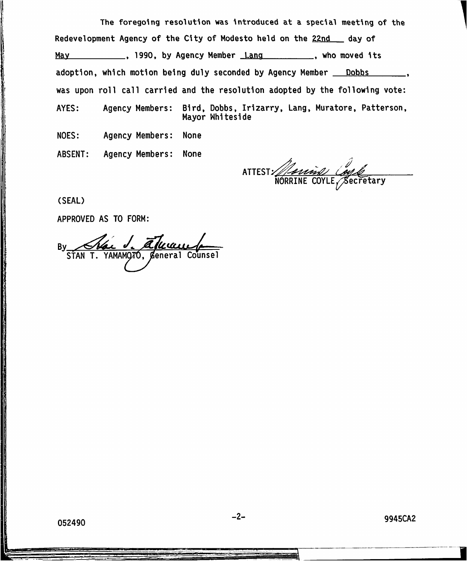**The foregoing resolution was introduced at <sup>a</sup> special meeting of the** Redevelopment Agency of the City of Modesto held on the <u>22nd say</u> of <u>May \_\_\_\_\_\_\_\_\_\_</u>, 1990, by Agency Member <u>\_Lang \_\_\_\_\_\_\_\_\_</u>\_, who moved its adoption, which motion being duly seconded by Agency Member <u>— Dobbs</u>  $\overline{\phantom{a}}$ was upon roll call carried and the resolution adopted by the following vote: Agency Members: Bird, Dobbs, Irizarry, Lang, Muratore, Patterson, AYES: Mayor Whiteside NOES: Agency Members: None

ABSENT: Agency Members: None

ATTEST <code>NORRINE COYLE</code>, $\not$ Becretary

(SEAL)

APPROVED AS TO FORM:

By Char **J. alle** STAN T. YAMAMOTÓ,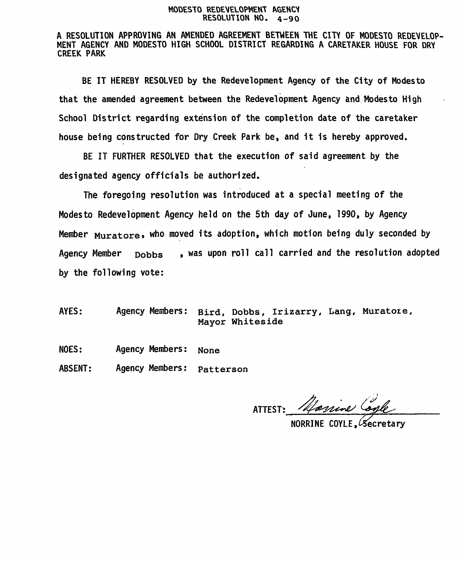#### MODESTO REDEVELOPMENT AGENCY RESOLUTION NO. 4-90

A RESOLUTION APPROVING AN AMENDED AGREEMENT BETWEEN THE CITY OF MODESTO REDEVELOP-<br>MENT AGENCY AND MODESTO HIGH SCHOOL DISTRICT REGARDING A CARETAKER HOUSE FOR DRY CREEK PARK

BE IT HEREBY RESOLVED by the Redevelopment Agency of the City of Modesto that the amended agreement between the Redevelopment Agency and Modesto High School District regarding extension of the completion date of the caretaker house being constructed for Dry Creek Park be, and it is hereby approved.

BE IT FURTHER RESOLVED that the execution of said agreement by the designated agency officials be authorized.

The foregoing resolution was introduced at a special meeting of the Modesto Redevelopment Agency held on the 5th day of June, 1990, by Agency Member <sub>Muratore,</sub> who moved its adoption, which motion being duly seconded by Agency Member **Dobbs** , was upon roll call carried and the resolution adopted by the following vote:

AYES: Agency Members: **Bird, Dobbs, Irizarry, Lang, Muratore, Mayor Whiteside**

Agency Members: NOES: **None**

Agency Members: ABSENT: **Patterson**

ATTEST: Marine Con

NORRINE COYLE, Secretary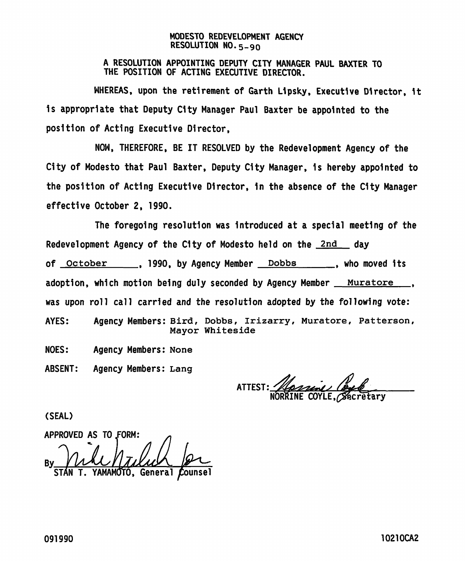# **MODESTO REDEVELOPMENT AGENCY RESOLUTION N0.5\_ 90**

# **A RESOLUTION APPOINTING DEPUTY CITY MANAGER PAUL BAXTER TO THE POSITION OF ACTING EXECUTIVE DIRECTOR.**

**WHEREAS, upon the retirement of Garth Lipsky, Executive Director, it is appropriate that Deputy City Manager Paul Baxter be appointed to the position of Acting Executive Director,**

**NOW, THEREFORE, BE IT RESOLVED by the Redevelopment Agency of the City of Modesto that Paul Baxter, Deputy City Manager, is hereby appointed to the position of Acting Executive Director, in the absence of the City Manager effective October 2, 1990.**

**The foregoing resolution was introduced at a special meeting of the Redevelopment Agency of the City of Modesto held on the 2nd day , 1990, by Agency Member Dobbs of October , who moved its adoption, which motion being duly seconded by Agency Member Muratore was upon roll call carried and the resolution adopted by the following vote: Agency Members: Bird, Dobbs, Irizarry, Muratore, Patterson, Mayor Whiteside AYES: NOES: Agency Members: None**

**ABSENT: Agency Members: Lang**

ATTEST: <u>*Hassen (byl)*</u><br>NORRINE COYLE, Becretary

**(SEAL)**

**APPROVED AS TO.FORM:** *yUAJurmYjbt.*  $General$ **By**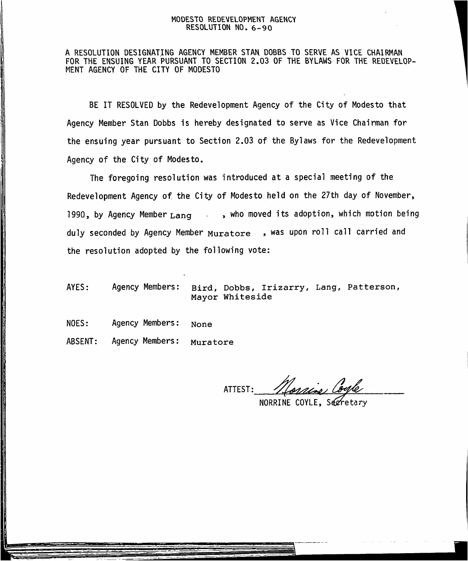### MODESTO REDEVELOPMENT AGENCY RESOLUTION NO.6-90

A RESOLUTION DESIGNATING AGENCY MEMBER STAN DOBBS TO SERVE AS VICE CHAIRMAN FOR THE ENSUING YEAR PURSUANT TO SECTION 2.03 OF THE BYLAWS FOR THE REDEVELOP- MENT AGENCY OF THE CITY OF MODESTO

BE IT RESOLVED by the Redevelopment Agency of the City of Modesto that Agency Member Stan Dobbs is hereby designated to serve as Vice Chairman for the ensuing year pursuant to Section 2.03 of the Bylaws for the Redevelopment Agency of the City of Modesto.

The foregoing resolution was introduced at <sup>a</sup> special meeting of the Redevelopment Agency of the City of Modesto held on the 27th day of November, 1990, by Agency Member **Lang ,** who moved its adoption, which motion being duly seconded by Agency Member **Muratore** > was upon roll call carried and the resolution adopted by the following vote:

- AYES: Agency Members: **Bird, Dobbs, Irizarry, Lang, Patterson, Mayor Whiteside**
- Agency Members: NOES: **None**
- Agency Members: ABSENT: **Muratore**

ATTEST:

NORRINE COYLE, Secreta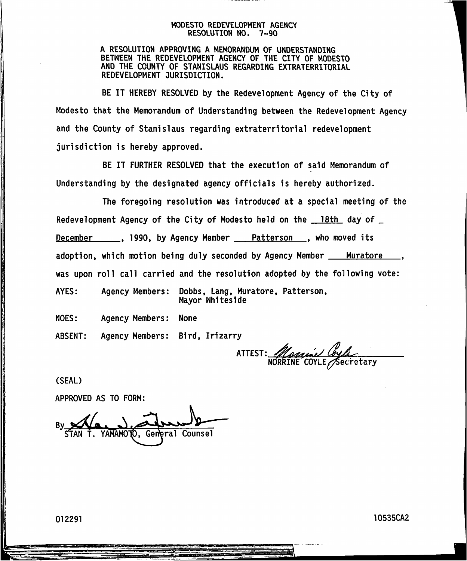### **MODESTO REDEVELOPMENT AGENCY RESOLUTION NO. 7-90**

**A RESOLUTION APPROVING A MEMORANDUM OF UNDERSTANDING BETWEEN THE REDEVELOPMENT AGENCY OF THE CITY OF MODESTO AND THE COUNTY OF STANISLAUS REGARDING EXTRATERRITORIAL REDEVELOPMENT JURISDICTION.**

**BE IT HEREBY RESOLVED by the Redevelopment Agency of the City of Modesto that the Memorandum of Understanding between the Redevelopment Agency and the County of Stanislaus regarding extraterritorial redevelopment jurisdiction is hereby approved.**

**BE IT FURTHER RESOLVED that the execution of said Memorandum of Understanding by the designated agency officials is hereby authorized.**

|                                                                               | The foregoing resolution was introduced at a special meeting of the   |
|-------------------------------------------------------------------------------|-----------------------------------------------------------------------|
|                                                                               | Redevelopment Agency of the City of Modesto held on the 18th day of _ |
| December 1990, by Agency Member <u>20. Patterson</u> , who moved its          |                                                                       |
| adoption, which motion being duly seconded by Agency Member ___ Muratore ___, |                                                                       |
| was upon roll call carried and the resolution adopted by the following vote:  |                                                                       |
| AYES:                                                                         | Agency Members: Dobbs, Lang, Muratore, Patterson,<br>Mayor Whiteside  |
| NOES:<br>Agency Members: None                                                 |                                                                       |
| Agency Members: Bird, Irizarry<br>ABSENT:                                     |                                                                       |

**COYLE ATTEST: ecretary**

**(SEAL)**

**APPROVED AS TO FORM:**

**By** YAMAMOTO. General **Counsel**